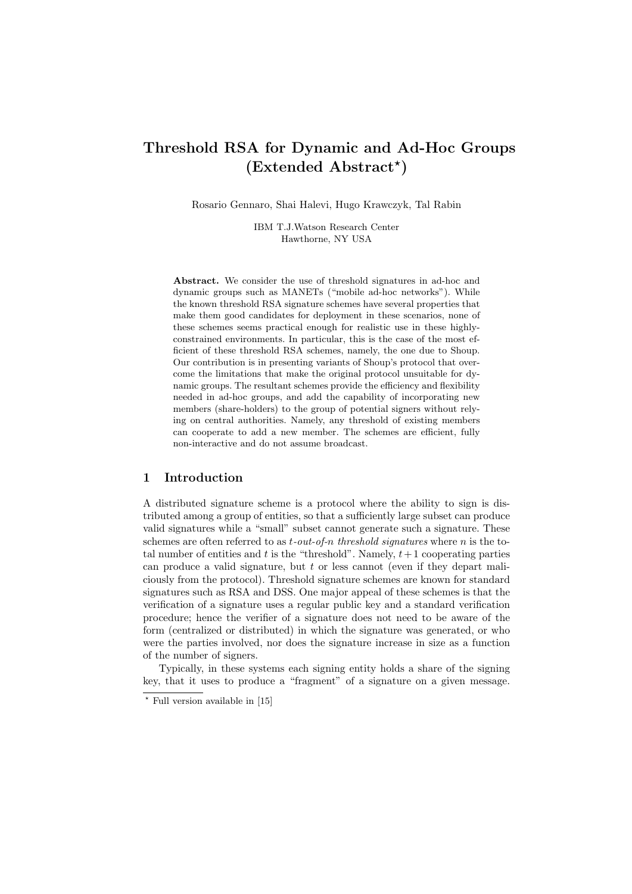# Threshold RSA for Dynamic and Ad-Hoc Groups (Extended Abstract\*)

Rosario Gennaro, Shai Halevi, Hugo Krawczyk, Tal Rabin

IBM T.J.Watson Research Center Hawthorne, NY USA

Abstract. We consider the use of threshold signatures in ad-hoc and dynamic groups such as MANETs ("mobile ad-hoc networks"). While the known threshold RSA signature schemes have several properties that make them good candidates for deployment in these scenarios, none of these schemes seems practical enough for realistic use in these highlyconstrained environments. In particular, this is the case of the most efficient of these threshold RSA schemes, namely, the one due to Shoup. Our contribution is in presenting variants of Shoup's protocol that overcome the limitations that make the original protocol unsuitable for dynamic groups. The resultant schemes provide the efficiency and flexibility needed in ad-hoc groups, and add the capability of incorporating new members (share-holders) to the group of potential signers without relying on central authorities. Namely, any threshold of existing members can cooperate to add a new member. The schemes are efficient, fully non-interactive and do not assume broadcast.

# 1 Introduction

A distributed signature scheme is a protocol where the ability to sign is distributed among a group of entities, so that a sufficiently large subset can produce valid signatures while a "small" subset cannot generate such a signature. These schemes are often referred to as  $t$ -out-of-n threshold signatures where n is the total number of entities and t is the "threshold". Namely,  $t+1$  cooperating parties can produce a valid signature, but  $t$  or less cannot (even if they depart maliciously from the protocol). Threshold signature schemes are known for standard signatures such as RSA and DSS. One major appeal of these schemes is that the verification of a signature uses a regular public key and a standard verification procedure; hence the verifier of a signature does not need to be aware of the form (centralized or distributed) in which the signature was generated, or who were the parties involved, nor does the signature increase in size as a function of the number of signers.

Typically, in these systems each signing entity holds a share of the signing key, that it uses to produce a "fragment" of a signature on a given message.

 $*$  Full version available in [15]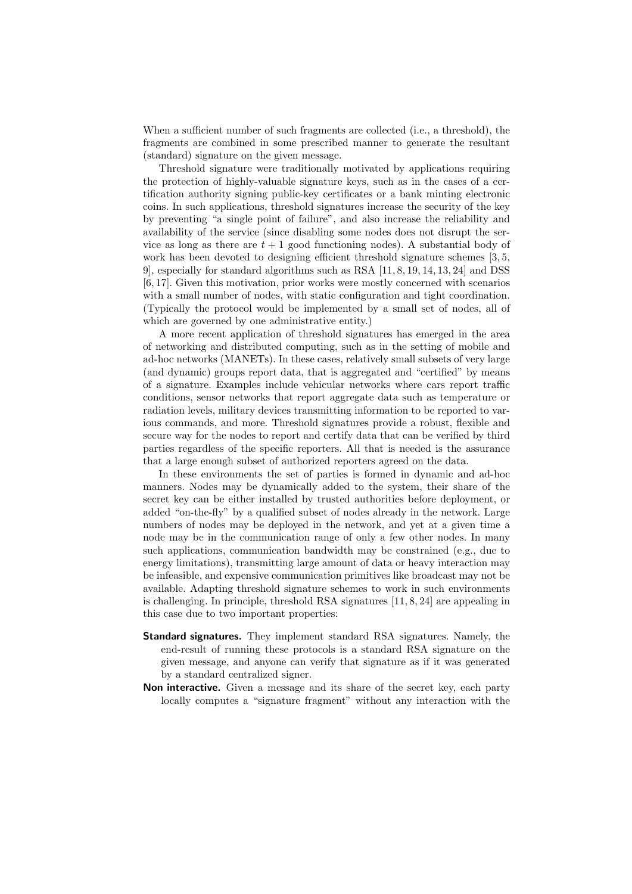When a sufficient number of such fragments are collected (i.e., a threshold), the fragments are combined in some prescribed manner to generate the resultant (standard) signature on the given message.

Threshold signature were traditionally motivated by applications requiring the protection of highly-valuable signature keys, such as in the cases of a certification authority signing public-key certificates or a bank minting electronic coins. In such applications, threshold signatures increase the security of the key by preventing "a single point of failure", and also increase the reliability and availability of the service (since disabling some nodes does not disrupt the service as long as there are  $t + 1$  good functioning nodes). A substantial body of work has been devoted to designing efficient threshold signature schemes [3, 5, 9, especially for standard algorithms such as RSA  $[11, 8, 19, 14, 13, 24]$  and DSS [6, 17]. Given this motivation, prior works were mostly concerned with scenarios with a small number of nodes, with static configuration and tight coordination. (Typically the protocol would be implemented by a small set of nodes, all of which are governed by one administrative entity.)

A more recent application of threshold signatures has emerged in the area of networking and distributed computing, such as in the setting of mobile and ad-hoc networks (MANETs). In these cases, relatively small subsets of very large (and dynamic) groups report data, that is aggregated and "certified" by means of a signature. Examples include vehicular networks where cars report traffic conditions, sensor networks that report aggregate data such as temperature or radiation levels, military devices transmitting information to be reported to various commands, and more. Threshold signatures provide a robust, flexible and secure way for the nodes to report and certify data that can be verified by third parties regardless of the specific reporters. All that is needed is the assurance that a large enough subset of authorized reporters agreed on the data.

In these environments the set of parties is formed in dynamic and ad-hoc manners. Nodes may be dynamically added to the system, their share of the secret key can be either installed by trusted authorities before deployment, or added "on-the-fly" by a qualified subset of nodes already in the network. Large numbers of nodes may be deployed in the network, and yet at a given time a node may be in the communication range of only a few other nodes. In many such applications, communication bandwidth may be constrained (e.g., due to energy limitations), transmitting large amount of data or heavy interaction may be infeasible, and expensive communication primitives like broadcast may not be available. Adapting threshold signature schemes to work in such environments is challenging. In principle, threshold RSA signatures [11, 8, 24] are appealing in this case due to two important properties:

- Standard signatures. They implement standard RSA signatures. Namely, the end-result of running these protocols is a standard RSA signature on the given message, and anyone can verify that signature as if it was generated by a standard centralized signer.
- Non interactive. Given a message and its share of the secret key, each party locally computes a "signature fragment" without any interaction with the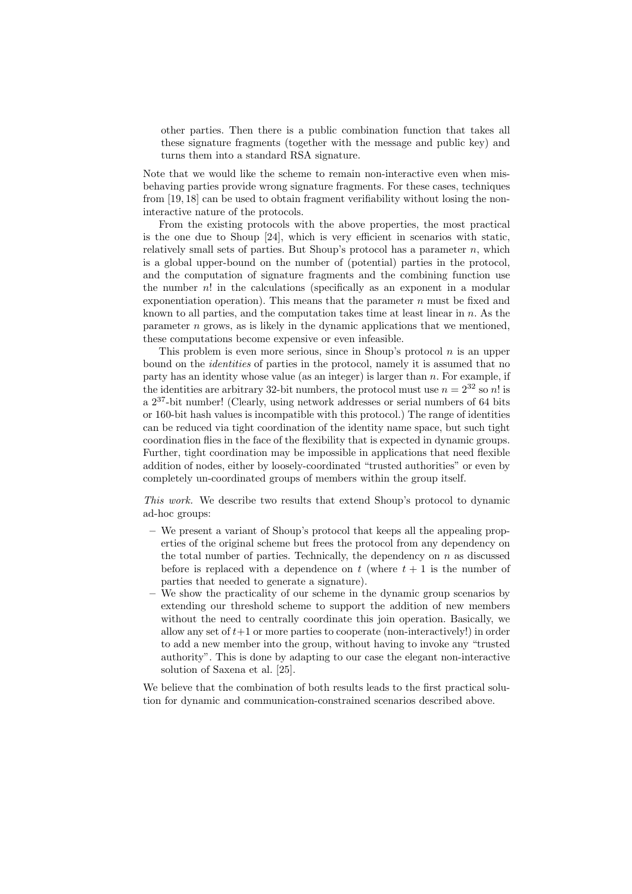other parties. Then there is a public combination function that takes all these signature fragments (together with the message and public key) and turns them into a standard RSA signature.

Note that we would like the scheme to remain non-interactive even when misbehaving parties provide wrong signature fragments. For these cases, techniques from [19, 18] can be used to obtain fragment verifiability without losing the noninteractive nature of the protocols.

From the existing protocols with the above properties, the most practical is the one due to Shoup [24], which is very efficient in scenarios with static, relatively small sets of parties. But Shoup's protocol has a parameter  $n$ , which is a global upper-bound on the number of (potential) parties in the protocol, and the computation of signature fragments and the combining function use the number  $n!$  in the calculations (specifically as an exponent in a modular exponentiation operation). This means that the parameter  $n$  must be fixed and known to all parties, and the computation takes time at least linear in  $n$ . As the parameter n grows, as is likely in the dynamic applications that we mentioned, these computations become expensive or even infeasible.

This problem is even more serious, since in Shoup's protocol  $n$  is an upper bound on the identities of parties in the protocol, namely it is assumed that no party has an identity whose value (as an integer) is larger than  $n$ . For example, if the identities are arbitrary 32-bit numbers, the protocol must use  $n = 2^{32}$  so n! is a  $2^{37}$ -bit number! (Clearly, using network addresses or serial numbers of 64 bits or 160-bit hash values is incompatible with this protocol.) The range of identities can be reduced via tight coordination of the identity name space, but such tight coordination flies in the face of the flexibility that is expected in dynamic groups. Further, tight coordination may be impossible in applications that need flexible addition of nodes, either by loosely-coordinated "trusted authorities" or even by completely un-coordinated groups of members within the group itself.

This work. We describe two results that extend Shoup's protocol to dynamic ad-hoc groups:

- We present a variant of Shoup's protocol that keeps all the appealing properties of the original scheme but frees the protocol from any dependency on the total number of parties. Technically, the dependency on  $n$  as discussed before is replaced with a dependence on t (where  $t + 1$  is the number of parties that needed to generate a signature).
- We show the practicality of our scheme in the dynamic group scenarios by extending our threshold scheme to support the addition of new members without the need to centrally coordinate this join operation. Basically, we allow any set of  $t+1$  or more parties to cooperate (non-interactively!) in order to add a new member into the group, without having to invoke any "trusted authority". This is done by adapting to our case the elegant non-interactive solution of Saxena et al. [25].

We believe that the combination of both results leads to the first practical solution for dynamic and communication-constrained scenarios described above.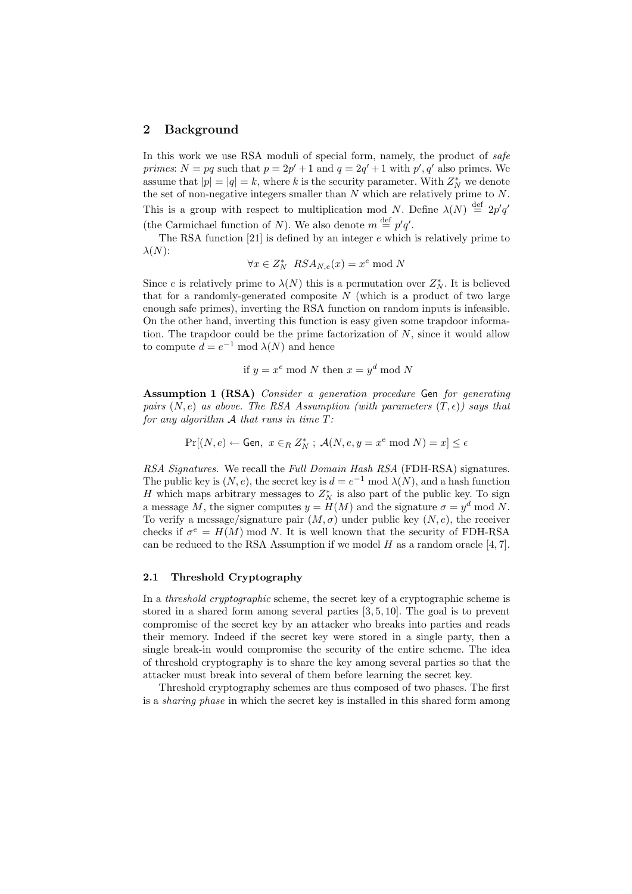## 2 Background

In this work we use RSA moduli of special form, namely, the product of safe primes:  $N = pq$  such that  $p = 2p' + 1$  and  $q = 2q' + 1$  with  $p', q'$  also primes. We assume that  $|p| = |q| = k$ , where k is the security parameter. With  $Z_N^*$  we denote the set of non-negative integers smaller than  $N$  which are relatively prime to  $N$ . This is a group with respect to multiplication mod N. Define  $\lambda(N) \stackrel{\text{def}}{=} 2p'q'$ (the Carmichael function of N). We also denote  $m \stackrel{\text{def}}{=} p'q'$ .

The RSA function  $[21]$  is defined by an integer  $e$  which is relatively prime to  $\lambda(N)$ :

$$
\forall x \in Z_N^* \quad RSA_{N,e}(x) = x^e \bmod N
$$

Since e is relatively prime to  $\lambda(N)$  this is a permutation over  $Z_N^*$ . It is believed that for a randomly-generated composite  $N$  (which is a product of two large enough safe primes), inverting the RSA function on random inputs is infeasible. On the other hand, inverting this function is easy given some trapdoor information. The trapdoor could be the prime factorization of  $N$ , since it would allow to compute  $d = e^{-1} \bmod \lambda(N)$  and hence

if 
$$
y = x^e \mod N
$$
 then  $x = y^d \mod N$ 

Assumption 1 (RSA) Consider a generation procedure Gen for generating pairs  $(N, e)$  as above. The RSA Assumption (with parameters  $(T, \epsilon)$ ) says that for any algorithm  $A$  that runs in time  $T$ :

$$
\Pr[(N,e) \leftarrow \mathsf{Gen}, \ x \in_R Z_N^* \ ; \ \mathcal{A}(N,e,y=x^e \bmod N)=x] \leq \epsilon
$$

RSA Signatures. We recall the Full Domain Hash RSA (FDH-RSA) signatures. The public key is  $(N, e)$ , the secret key is  $d = e^{-1} \mod \lambda(N)$ , and a hash function H which maps arbitrary messages to  $Z_N^*$  is also part of the public key. To sign a message M, the signer computes  $y = H(M)$  and the signature  $\sigma = y^d \mod N$ . To verify a message/signature pair  $(M, \sigma)$  under public key  $(N, e)$ , the receiver checks if  $\sigma^e = H(M)$  mod N. It is well known that the security of FDH-RSA can be reduced to the RSA Assumption if we model  $H$  as a random oracle [4, 7].

### 2.1 Threshold Cryptography

In a threshold cryptographic scheme, the secret key of a cryptographic scheme is stored in a shared form among several parties [3, 5, 10]. The goal is to prevent compromise of the secret key by an attacker who breaks into parties and reads their memory. Indeed if the secret key were stored in a single party, then a single break-in would compromise the security of the entire scheme. The idea of threshold cryptography is to share the key among several parties so that the attacker must break into several of them before learning the secret key.

Threshold cryptography schemes are thus composed of two phases. The first is a sharing phase in which the secret key is installed in this shared form among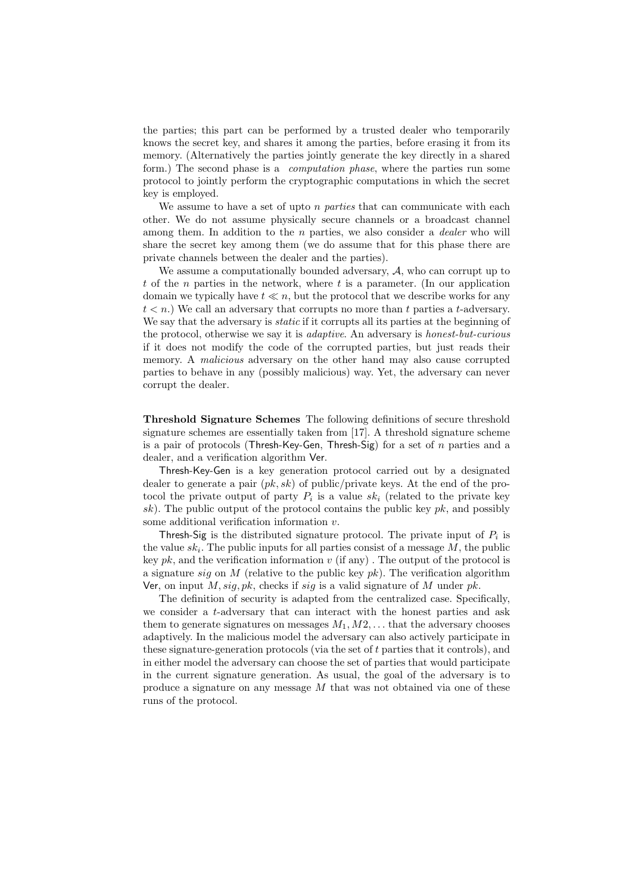the parties; this part can be performed by a trusted dealer who temporarily knows the secret key, and shares it among the parties, before erasing it from its memory. (Alternatively the parties jointly generate the key directly in a shared form.) The second phase is a *computation phase*, where the parties run some protocol to jointly perform the cryptographic computations in which the secret key is employed.

We assume to have a set of upto  $n$  parties that can communicate with each other. We do not assume physically secure channels or a broadcast channel among them. In addition to the  $n$  parties, we also consider a *dealer* who will share the secret key among them (we do assume that for this phase there are private channels between the dealer and the parties).

We assume a computationally bounded adversary,  $A$ , who can corrupt up to  $t$  of the *n* parties in the network, where  $t$  is a parameter. (In our application domain we typically have  $t \ll n$ , but the protocol that we describe works for any  $t < n$ .) We call an adversary that corrupts no more than t parties a t-adversary. We say that the adversary is *static* if it corrupts all its parties at the beginning of the protocol, otherwise we say it is adaptive. An adversary is honest-but-curious if it does not modify the code of the corrupted parties, but just reads their memory. A *malicious* adversary on the other hand may also cause corrupted parties to behave in any (possibly malicious) way. Yet, the adversary can never corrupt the dealer.

Threshold Signature Schemes The following definitions of secure threshold signature schemes are essentially taken from [17]. A threshold signature scheme is a pair of protocols (Thresh-Key-Gen, Thresh-Sig) for a set of  $n$  parties and a dealer, and a verification algorithm Ver.

Thresh-Key-Gen is a key generation protocol carried out by a designated dealer to generate a pair  $(pk, sk)$  of public/private keys. At the end of the protocol the private output of party  $P_i$  is a value  $sk_i$  (related to the private key sk). The public output of the protocol contains the public key  $pk$ , and possibly some additional verification information v.

Thresh-Sig is the distributed signature protocol. The private input of  $P_i$  is the value  $sk_i$ . The public inputs for all parties consist of a message  $M$ , the public key  $pk$ , and the verification information  $v$  (if any). The output of the protocol is a signature sig on M (relative to the public key  $pk$ ). The verification algorithm Ver, on input  $M$ ,  $sig, pk$ , checks if  $sig$  is a valid signature of M under  $pk$ .

The definition of security is adapted from the centralized case. Specifically, we consider a t-adversary that can interact with the honest parties and ask them to generate signatures on messages  $M_1, M_2, \ldots$  that the adversary chooses adaptively. In the malicious model the adversary can also actively participate in these signature-generation protocols (via the set of t parties that it controls), and in either model the adversary can choose the set of parties that would participate in the current signature generation. As usual, the goal of the adversary is to produce a signature on any message  $M$  that was not obtained via one of these runs of the protocol.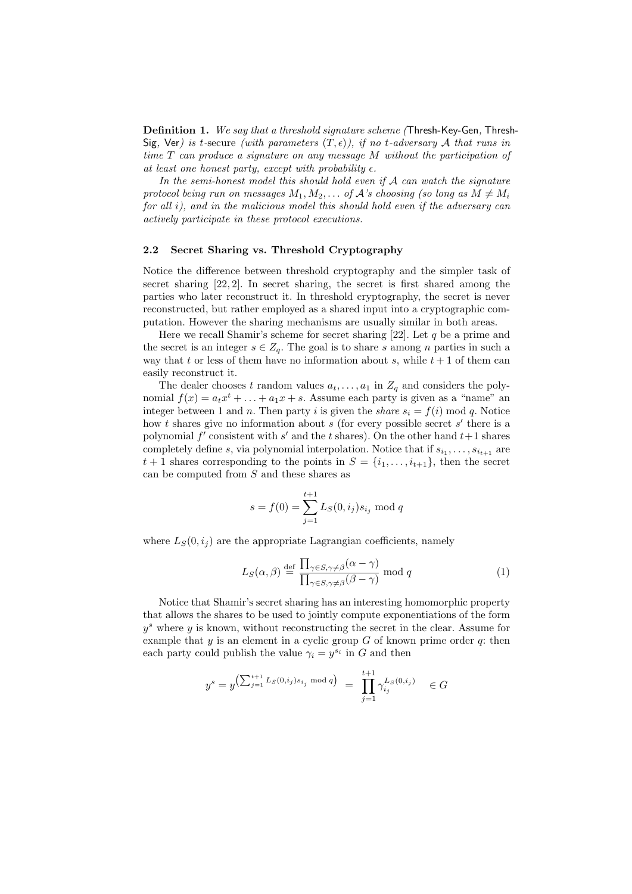Definition 1. We say that a threshold signature scheme (Thresh-Key-Gen, Thresh-Sig, Ver) is t-secure (with parameters  $(T, \epsilon)$ ), if no t-adversary A that runs in time T can produce a signature on any message M without the participation of at least one honest party, except with probability  $\epsilon$ .

In the semi-honest model this should hold even if  $A$  can watch the signature protocol being run on messages  $M_1, M_2, \ldots$  of A's choosing (so long as  $M \neq M_i$ for all i), and in the malicious model this should hold even if the adversary can actively participate in these protocol executions.

#### 2.2 Secret Sharing vs. Threshold Cryptography

Notice the difference between threshold cryptography and the simpler task of secret sharing [22, 2]. In secret sharing, the secret is first shared among the parties who later reconstruct it. In threshold cryptography, the secret is never reconstructed, but rather employed as a shared input into a cryptographic computation. However the sharing mechanisms are usually similar in both areas.

Here we recall Shamir's scheme for secret sharing [22]. Let  $q$  be a prime and the secret is an integer  $s \in Z_q$ . The goal is to share s among n parties in such a way that t or less of them have no information about s, while  $t + 1$  of them can easily reconstruct it.

The dealer chooses t random values  $a_t, \ldots, a_1$  in  $Z_q$  and considers the polynomial  $f(x) = a_t x^t + \ldots + a_1 x + s$ . Assume each party is given as a "name" an integer between 1 and n. Then party i is given the *share*  $s_i = f(i) \mod q$ . Notice how t shares give no information about  $s$  (for every possible secret  $s'$  there is a polynomial  $f'$  consistent with s' and the t shares). On the other hand  $t+1$  shares completely define s, via polynomial interpolation. Notice that if  $s_{i_1}, \ldots, s_{i_{t+1}}$  are  $t+1$  shares corresponding to the points in  $S = \{i_1, \ldots, i_{t+1}\}\$ , then the secret can be computed from  $S$  and these shares as

$$
s = f(0) = \sum_{j=1}^{t+1} L_S(0, i_j) s_{i_j} \mod q
$$

where  $L_S(0, i_i)$  are the appropriate Lagrangian coefficients, namely

$$
L_S(\alpha, \beta) \stackrel{\text{def}}{=} \frac{\prod_{\gamma \in S, \gamma \neq \beta} (\alpha - \gamma)}{\prod_{\gamma \in S, \gamma \neq \beta} (\beta - \gamma)} \text{ mod } q \tag{1}
$$

Notice that Shamir's secret sharing has an interesting homomorphic property that allows the shares to be used to jointly compute exponentiations of the form  $y<sup>s</sup>$  where y is known, without reconstructing the secret in the clear. Assume for example that  $y$  is an element in a cyclic group G of known prime order  $q$ : then each party could publish the value  $\gamma_i = y^{s_i}$  in G and then

$$
y^{s} = y^{\left(\sum_{j=1}^{t+1} L_{S}(0,i_{j})s_{i_{j}} \bmod q\right)} = \prod_{j=1}^{t+1} \gamma_{i_{j}}^{L_{S}(0,i_{j})} \in G
$$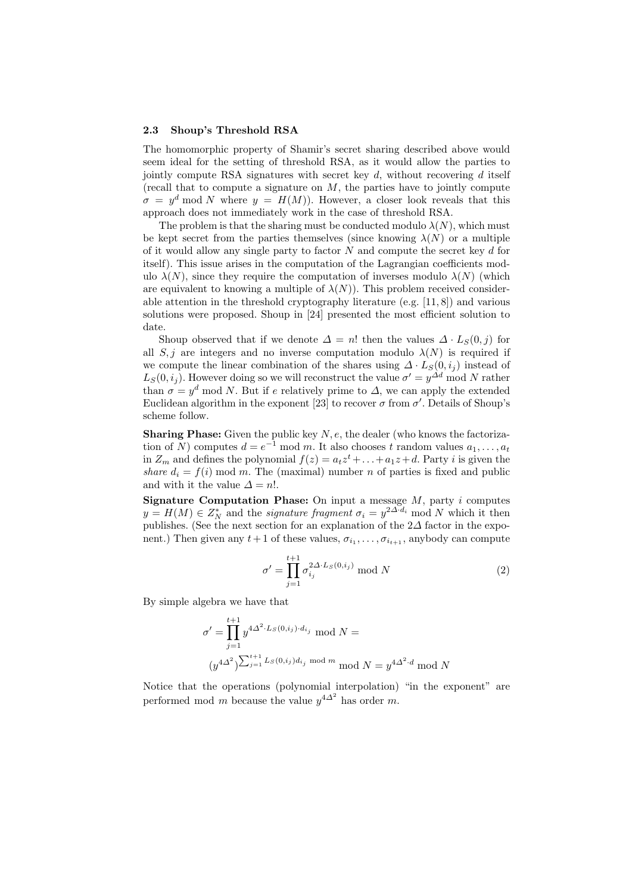#### 2.3 Shoup's Threshold RSA

The homomorphic property of Shamir's secret sharing described above would seem ideal for the setting of threshold RSA, as it would allow the parties to jointly compute RSA signatures with secret key  $d$ , without recovering  $d$  itself (recall that to compute a signature on  $M$ , the parties have to jointly compute  $\sigma = y^d \mod N$  where  $y = H(M)$ ). However, a closer look reveals that this approach does not immediately work in the case of threshold RSA.

The problem is that the sharing must be conducted modulo  $\lambda(N)$ , which must be kept secret from the parties themselves (since knowing  $\lambda(N)$ ) or a multiple of it would allow any single party to factor  $N$  and compute the secret key  $d$  for itself). This issue arises in the computation of the Lagrangian coefficients modulo  $\lambda(N)$ , since they require the computation of inverses modulo  $\lambda(N)$  (which are equivalent to knowing a multiple of  $\lambda(N)$ ). This problem received considerable attention in the threshold cryptography literature (e.g. [11, 8]) and various solutions were proposed. Shoup in [24] presented the most efficient solution to date.

Shoup observed that if we denote  $\Delta = n!$  then the values  $\Delta \cdot L_S(0, j)$  for all  $S, j$  are integers and no inverse computation modulo  $\lambda(N)$  is required if we compute the linear combination of the shares using  $\Delta \cdot L_S(0, i_j)$  instead of  $L_S(0, i_j)$ . However doing so we will reconstruct the value  $\sigma' = y^{\Delta d}$  mod N rather than  $\sigma = y^d \mod N$ . But if e relatively prime to  $\Delta$ , we can apply the extended Euclidean algorithm in the exponent [23] to recover  $\sigma$  from  $\sigma'$ . Details of Shoup's scheme follow.

**Sharing Phase:** Given the public key  $N$ ,  $e$ , the dealer (who knows the factorization of N) computes  $d = e^{-1} \mod m$ . It also chooses t random values  $a_1, \ldots, a_t$ in  $Z_m$  and defines the polynomial  $f(z) = a_t z^t + \ldots + a_1 z + d$ . Party *i* is given the share  $d_i = f(i) \mod m$ . The (maximal) number n of parties is fixed and public and with it the value  $\Delta = n!$ .

**Signature Computation Phase:** On input a message  $M$ , party i computes  $y = H(M) \in Z_N^*$  and the *signature fragment*  $\sigma_i = y^{2\Delta \cdot d_i} \mod N$  which it then publishes. (See the next section for an explanation of the 2 $\Delta$  factor in the exponent.) Then given any  $t+1$  of these values,  $\sigma_{i_1}, \ldots, \sigma_{i_{t+1}}$ , anybody can compute

$$
\sigma' = \prod_{j=1}^{t+1} \sigma_{i_j}^{2\Delta \cdot L_S(0, i_j)} \mod N \tag{2}
$$

By simple algebra we have that

$$
\sigma' = \prod_{j=1}^{t+1} y^{4\Delta^2 \cdot L_S(0, i_j) \cdot d_{i_j}} \mod N =
$$
  

$$
(y^{4\Delta^2})^{\sum_{j=1}^{t+1} L_S(0, i_j) d_{i_j} \mod m} \mod N = y^{4\Delta^2 \cdot d} \mod N
$$

Notice that the operations (polynomial interpolation) "in the exponent" are performed mod m because the value  $y^{4\Delta^2}$  has order m.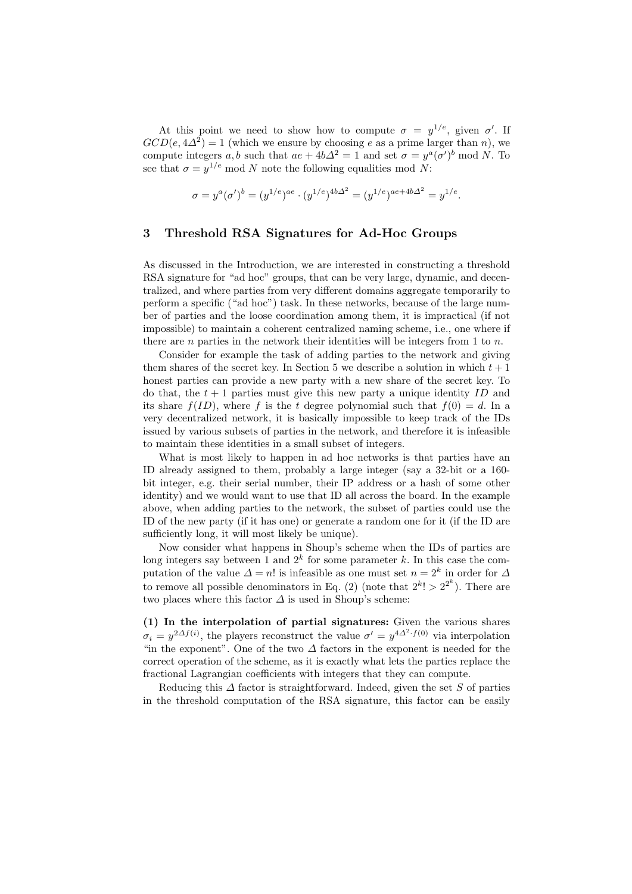At this point we need to show how to compute  $\sigma = y^{1/e}$ , given  $\sigma'$ . If  $GCD(e, 4\Delta^2) = 1$  (which we ensure by choosing e as a prime larger than n), we compute integers a, b such that  $ae + 4b\Delta^2 = 1$  and set  $\sigma = y^a(\sigma')^b \mod N$ . To see that  $\sigma = y^{1/e} \mod N$  note the following equalities mod N:

$$
\sigma = y^a (\sigma')^b = (y^{1/e})^{ae} \cdot (y^{1/e})^{4b\Delta^2} = (y^{1/e})^{ae + 4b\Delta^2} = y^{1/e}.
$$

## 3 Threshold RSA Signatures for Ad-Hoc Groups

As discussed in the Introduction, we are interested in constructing a threshold RSA signature for "ad hoc" groups, that can be very large, dynamic, and decentralized, and where parties from very different domains aggregate temporarily to perform a specific ("ad hoc") task. In these networks, because of the large number of parties and the loose coordination among them, it is impractical (if not impossible) to maintain a coherent centralized naming scheme, i.e., one where if there are n parties in the network their identities will be integers from 1 to  $n$ .

Consider for example the task of adding parties to the network and giving them shares of the secret key. In Section 5 we describe a solution in which  $t + 1$ honest parties can provide a new party with a new share of the secret key. To do that, the  $t + 1$  parties must give this new party a unique identity ID and its share  $f(ID)$ , where f is the t degree polynomial such that  $f(0) = d$ . In a very decentralized network, it is basically impossible to keep track of the IDs issued by various subsets of parties in the network, and therefore it is infeasible to maintain these identities in a small subset of integers.

What is most likely to happen in ad hoc networks is that parties have an ID already assigned to them, probably a large integer (say a 32-bit or a 160 bit integer, e.g. their serial number, their IP address or a hash of some other identity) and we would want to use that ID all across the board. In the example above, when adding parties to the network, the subset of parties could use the ID of the new party (if it has one) or generate a random one for it (if the ID are sufficiently long, it will most likely be unique).

Now consider what happens in Shoup's scheme when the IDs of parties are long integers say between 1 and  $2^k$  for some parameter k. In this case the computation of the value  $\Delta = n!$  is infeasible as one must set  $n = 2<sup>k</sup>$  in order for  $\Delta$ to remove all possible denominators in Eq. (2) (note that  $2^k! > 2^{2^k}$ ). There are two places where this factor  $\Delta$  is used in Shoup's scheme:

(1) In the interpolation of partial signatures: Given the various shares  $\sigma_i = y^{2\Delta f(i)}$ , the players reconstruct the value  $\sigma' = y^{4\Delta^2 \cdot f(0)}$  via interpolation "in the exponent". One of the two  $\Delta$  factors in the exponent is needed for the correct operation of the scheme, as it is exactly what lets the parties replace the fractional Lagrangian coefficients with integers that they can compute.

Reducing this  $\Delta$  factor is straightforward. Indeed, given the set S of parties in the threshold computation of the RSA signature, this factor can be easily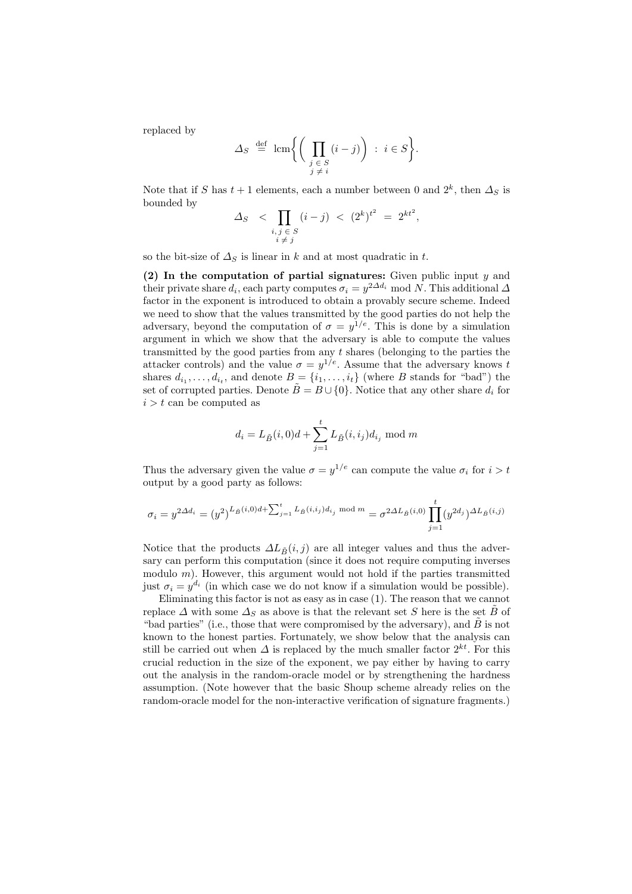replaced by

$$
\Delta_S \stackrel{\text{def}}{=} \operatorname{lcm} \bigg\{ \bigg( \prod_{\substack{j \in S \\ j \neq i}} (i - j) \bigg) : i \in S \bigg\}.
$$

Note that if S has  $t + 1$  elements, each a number between 0 and  $2^k$ , then  $\Delta_S$  is bounded by

$$
\Delta_S \le \prod_{\substack{i,j \in S \\ i \neq j}} (i-j) < (2^k)^{t^2} = 2^{kt^2},
$$

so the bit-size of  $\Delta_S$  is linear in k and at most quadratic in t.

(2) In the computation of partial signatures: Given public input  $y$  and their private share  $d_i$ , each party computes  $\sigma_i = y^{2\Delta d_i} \mod N$ . This additional  $\Delta$ factor in the exponent is introduced to obtain a provably secure scheme. Indeed we need to show that the values transmitted by the good parties do not help the adversary, beyond the computation of  $\sigma = y^{1/e}$ . This is done by a simulation argument in which we show that the adversary is able to compute the values transmitted by the good parties from any  $t$  shares (belonging to the parties the attacker controls) and the value  $\sigma = y^{1/e}$ . Assume that the adversary knows t shares  $d_{i_1}, \ldots, d_{i_t}$ , and denote  $B = \{i_1, \ldots, i_t\}$  (where B stands for "bad") the set of corrupted parties. Denote  $\tilde{B} = B \cup \{0\}$ . Notice that any other share  $d_i$  for  $i > t$  can be computed as

$$
d_i = L_{\tilde{B}}(i,0)d + \sum_{j=1}^{t} L_{\tilde{B}}(i,i_j)d_{i_j} \text{ mod } m
$$

Thus the adversary given the value  $\sigma = y^{1/e}$  can compute the value  $\sigma_i$  for  $i > t$ output by a good party as follows:

$$
\sigma_i = y^{2\varDelta d_i} = (y^2)^{L_{\tilde{B}}(i,0)d + \sum_{j=1}^t L_{\tilde{B}}(i,i_j)d_{i_j} \bmod m} = \sigma^{2\varDelta L_{\tilde{B}}(i,0)} \prod_{j=1}^t (y^{2d_j})^{\varDelta L_{\tilde{B}}(i,j)}
$$

Notice that the products  $\Delta L_{\tilde{B}}(i, j)$  are all integer values and thus the adversary can perform this computation (since it does not require computing inverses modulo  $m$ ). However, this argument would not hold if the parties transmitted just  $\sigma_i = y^{d_i}$  (in which case we do not know if a simulation would be possible).

Eliminating this factor is not as easy as in case (1). The reason that we cannot replace  $\Delta$  with some  $\Delta_S$  as above is that the relevant set S here is the set  $\tilde{B}$  of "bad parties" (i.e., those that were compromised by the adversary), and  $\tilde{B}$  is not known to the honest parties. Fortunately, we show below that the analysis can still be carried out when  $\Delta$  is replaced by the much smaller factor  $2^{kt}$ . For this crucial reduction in the size of the exponent, we pay either by having to carry out the analysis in the random-oracle model or by strengthening the hardness assumption. (Note however that the basic Shoup scheme already relies on the random-oracle model for the non-interactive verification of signature fragments.)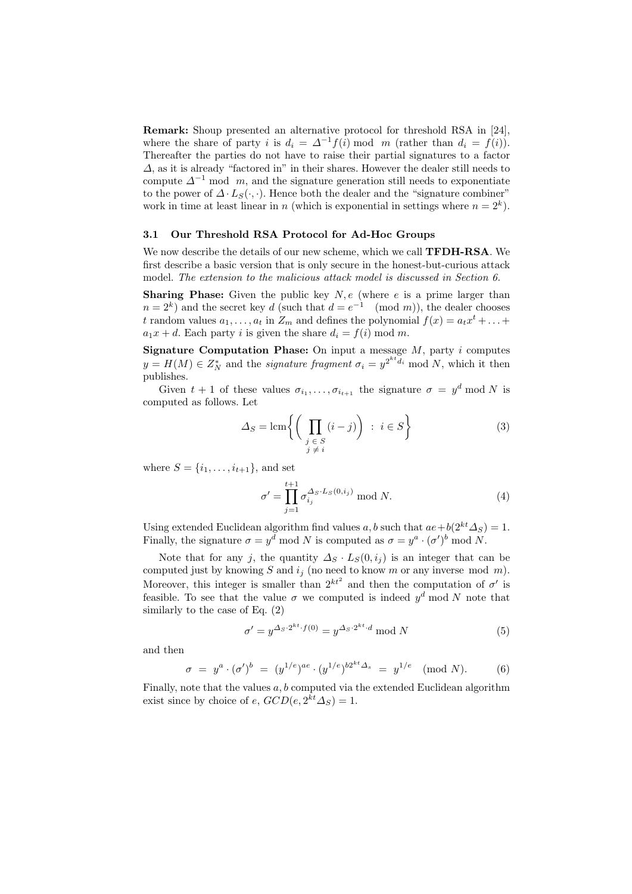Remark: Shoup presented an alternative protocol for threshold RSA in [24], where the share of party i is  $d_i = \Delta^{-1} f(i) \mod m$  (rather than  $d_i = f(i)$ ). Thereafter the parties do not have to raise their partial signatures to a factor ∆, as it is already "factored in" in their shares. However the dealer still needs to compute  $\Delta^{-1}$  mod m, and the signature generation still needs to exponentiate to the power of  $\Delta \cdot L_S(\cdot, \cdot)$ . Hence both the dealer and the "signature combiner" work in time at least linear in n (which is exponential in settings where  $n = 2<sup>k</sup>$ ).

#### 3.1 Our Threshold RSA Protocol for Ad-Hoc Groups

We now describe the details of our new scheme, which we call **TFDH-RSA**. We first describe a basic version that is only secure in the honest-but-curious attack model. The extension to the malicious attack model is discussed in Section 6.

**Sharing Phase:** Given the public key  $N$ ,  $e$  (where  $e$  is a prime larger than  $n = 2<sup>k</sup>$  and the secret key d (such that  $d = e^{-1} \pmod{m}$ ), the dealer chooses t random values  $a_1, \ldots, a_t$  in  $Z_m$  and defines the polynomial  $f(x) = a_t x^t + \ldots + a_t x^t$  $a_1x + d$ . Each party *i* is given the share  $d_i = f(i) \mod m$ .

Signature Computation Phase: On input a message  $M$ , party  $i$  computes  $y = H(M) \in Z_N^*$  and the *signature fragment*  $\sigma_i = y^{2^{kt}d_i} \mod N$ , which it then publishes.

Given  $t + 1$  of these values  $\sigma_{i_1}, \ldots, \sigma_{i_{t+1}}$  the signature  $\sigma = y^d \mod N$  is computed as follows. Let

$$
\Delta_S = \text{lcm}\left\{ \left( \prod_{\substack{j \in S \\ j \neq i}} (i - j) \right) : i \in S \right\} \tag{3}
$$

where  $S = \{i_1, \ldots, i_{t+1}\}\text{, and set}$ 

$$
\sigma' = \prod_{j=1}^{t+1} \sigma_{i_j}^{\Delta_S \cdot L_S(0, i_j)} \mod N. \tag{4}
$$

Using extended Euclidean algorithm find values a, b such that  $ae+b(2^{kt}\Delta_S) = 1$ . Finally, the signature  $\sigma = y^d \mod N$  is computed as  $\sigma = y^a \cdot (\sigma')^b \mod N$ .

Note that for any j, the quantity  $\Delta_S \cdot L_S(0, i_j)$  is an integer that can be computed just by knowing S and  $i_j$  (no need to know m or any inverse mod m). Moreover, this integer is smaller than  $2^{kt^2}$  and then the computation of  $\sigma'$  is feasible. To see that the value  $\sigma$  we computed is indeed  $y^d$  mod N note that similarly to the case of Eq. (2)

$$
\sigma' = y^{\Delta_S \cdot 2^{kt} \cdot f(0)} = y^{\Delta_S \cdot 2^{kt} \cdot d} \bmod N
$$
\n<sup>(5)</sup>

and then

$$
\sigma = y^a \cdot (\sigma')^b = (y^{1/e})^{ae} \cdot (y^{1/e})^{b2^{kt}\Delta_s} = y^{1/e} \pmod{N}.
$$
 (6)

Finally, note that the values  $a, b$  computed via the extended Euclidean algorithm exist since by choice of  $e$ ,  $GCD(e, 2^{kt} \Delta_S) = 1$ .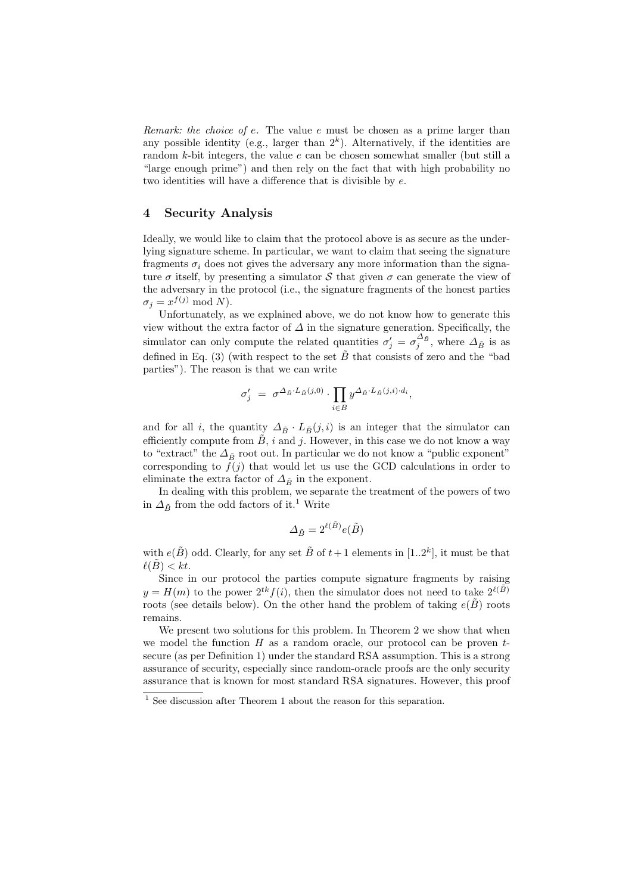Remark: the choice of e. The value e must be chosen as a prime larger than any possible identity (e.g., larger than  $2<sup>k</sup>$ ). Alternatively, if the identities are random  $k$ -bit integers, the value  $e$  can be chosen somewhat smaller (but still a "large enough prime") and then rely on the fact that with high probability no two identities will have a difference that is divisible by e.

## 4 Security Analysis

Ideally, we would like to claim that the protocol above is as secure as the underlying signature scheme. In particular, we want to claim that seeing the signature fragments  $\sigma_i$  does not gives the adversary any more information than the signature  $\sigma$  itself, by presenting a simulator S that given  $\sigma$  can generate the view of the adversary in the protocol (i.e., the signature fragments of the honest parties  $\sigma_j = x^{f(j)} \bmod N$ .

Unfortunately, as we explained above, we do not know how to generate this view without the extra factor of  $\Delta$  in the signature generation. Specifically, the simulator can only compute the related quantities  $\sigma'_j = \sigma_j^{\Delta_{\tilde{B}}}$ , where  $\Delta_{\tilde{B}}$  is as defined in Eq. (3) (with respect to the set  $\tilde{B}$  that consists of zero and the "bad" parties"). The reason is that we can write

$$
\sigma'_j \ = \ \sigma^{\varDelta_{\tilde{B}} \cdot L_{\tilde{B}}(j,0)} \cdot \prod_{i \in B} y^{\varDelta_{\tilde{B}} \cdot L_{\tilde{B}}(j,i) \cdot d_i},
$$

and for all *i*, the quantity  $\Delta_{\tilde{B}} \cdot L_{\tilde{B}}(j, i)$  is an integer that the simulator can efficiently compute from  $\ddot{B}$ , i and j. However, in this case we do not know a way to "extract" the  $\Delta_{\tilde{B}}$  root out. In particular we do not know a "public exponent" corresponding to  $f(j)$  that would let us use the GCD calculations in order to eliminate the extra factor of  $\Delta_{\tilde{B}}$  in the exponent.

In dealing with this problem, we separate the treatment of the powers of two in  $\Delta_{\tilde{B}}$  from the odd factors of it.<sup>1</sup> Write

$$
\varDelta_{\tilde{B}}=2^{\ell(\tilde{B})}e(\tilde{B})
$$

with  $e(\tilde{B})$  odd. Clearly, for any set  $\tilde{B}$  of  $t+1$  elements in  $[1..2^k]$ , it must be that  $\ell(B) < kt.$ 

Since in our protocol the parties compute signature fragments by raising  $y = H(m)$  to the power  $2^{tk} f(i)$ , then the simulator does not need to take  $2^{\ell(\tilde{B})}$ roots (see details below). On the other hand the problem of taking  $e(\tilde{B})$  roots remains.

We present two solutions for this problem. In Theorem 2 we show that when we model the function  $H$  as a random oracle, our protocol can be proven  $t$ secure (as per Definition 1) under the standard RSA assumption. This is a strong assurance of security, especially since random-oracle proofs are the only security assurance that is known for most standard RSA signatures. However, this proof

 $1$  See discussion after Theorem 1 about the reason for this separation.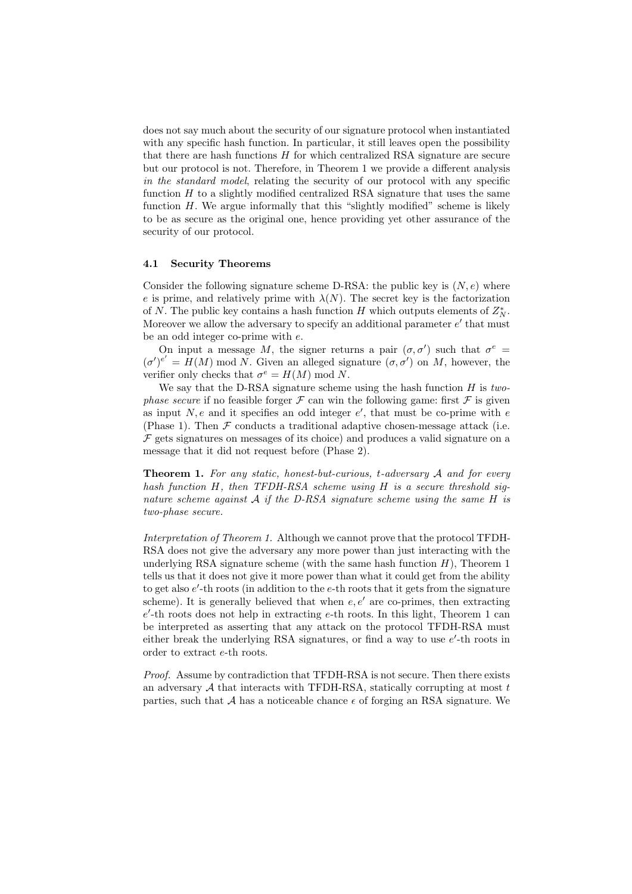does not say much about the security of our signature protocol when instantiated with any specific hash function. In particular, it still leaves open the possibility that there are hash functions  $H$  for which centralized RSA signature are secure but our protocol is not. Therefore, in Theorem 1 we provide a different analysis in the standard model, relating the security of our protocol with any specific function  $H$  to a slightly modified centralized RSA signature that uses the same function  $H$ . We argue informally that this "slightly modified" scheme is likely to be as secure as the original one, hence providing yet other assurance of the security of our protocol.

#### 4.1 Security Theorems

Consider the following signature scheme D-RSA: the public key is  $(N, e)$  where e is prime, and relatively prime with  $\lambda(N)$ . The secret key is the factorization of N. The public key contains a hash function  $H$  which outputs elements of  $Z_N^*$ . Moreover we allow the adversary to specify an additional parameter  $e'$  that must be an odd integer co-prime with e.

On input a message M, the signer returns a pair  $(\sigma, \sigma')$  such that  $\sigma^e$  =  $(\sigma')^{e'} = H(M)$  mod N. Given an alleged signature  $(\sigma, \sigma')$  on M, however, the verifier only checks that  $\sigma^e = H(M) \bmod N$ .

We say that the D-RSA signature scheme using the hash function  $H$  is twophase secure if no feasible forger  $\mathcal F$  can win the following game: first  $\mathcal F$  is given as input  $N, e$  and it specifies an odd integer  $e'$ , that must be co-prime with  $e$ (Phase 1). Then  $\mathcal F$  conducts a traditional adaptive chosen-message attack (i.e.  $\mathcal F$  gets signatures on messages of its choice) and produces a valid signature on a message that it did not request before (Phase 2).

Theorem 1. For any static, honest-but-curious, t-adversary A and for every hash function H, then TFDH-RSA scheme using H is a secure threshold signature scheme against  $A$  if the D-RSA signature scheme using the same H is two-phase secure.

Interpretation of Theorem 1. Although we cannot prove that the protocol TFDH-RSA does not give the adversary any more power than just interacting with the underlying RSA signature scheme (with the same hash function  $H$ ), Theorem 1 tells us that it does not give it more power than what it could get from the ability to get also  $e'$ -th roots (in addition to the  $e$ -th roots that it gets from the signature scheme). It is generally believed that when  $e, e'$  are co-primes, then extracting  $e'$ -th roots does not help in extracting  $e$ -th roots. In this light, Theorem 1 can be interpreted as asserting that any attack on the protocol TFDH-RSA must either break the underlying RSA signatures, or find a way to use  $e'$ -th roots in order to extract e-th roots.

Proof. Assume by contradiction that TFDH-RSA is not secure. Then there exists an adversary  $A$  that interacts with TFDH-RSA, statically corrupting at most  $t$ parties, such that A has a noticeable chance  $\epsilon$  of forging an RSA signature. We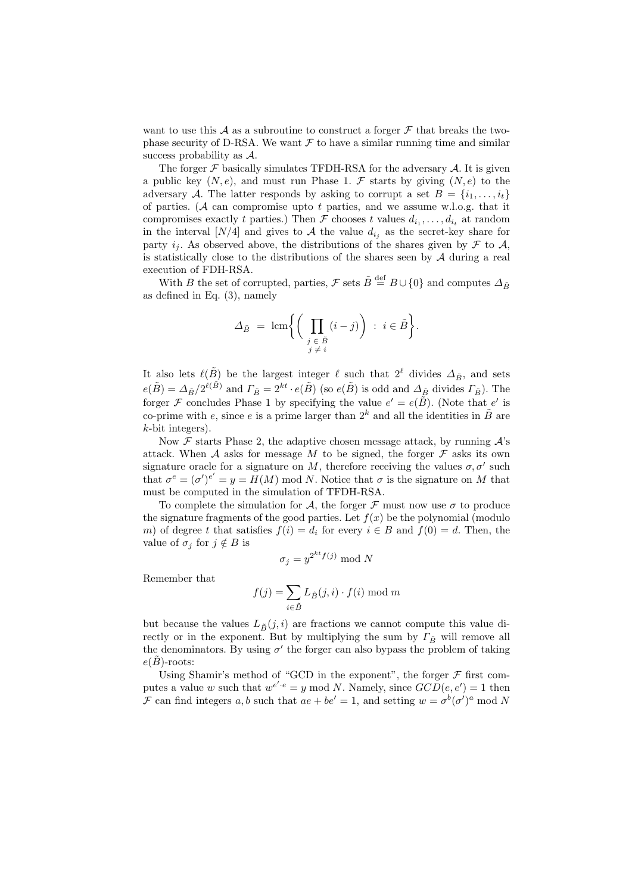want to use this A as a subroutine to construct a forger  $\mathcal F$  that breaks the twophase security of D-RSA. We want  $\mathcal F$  to have a similar running time and similar success probability as  $A$ .

The forger  $\mathcal F$  basically simulates TFDH-RSA for the adversary  $\mathcal A$ . It is given a public key  $(N, e)$ , and must run Phase 1. F starts by giving  $(N, e)$  to the adversary A. The latter responds by asking to corrupt a set  $B = \{i_1, \ldots, i_t\}$ of parties. ( $A$  can compromise upto  $t$  parties, and we assume w.l.o.g. that it compromises exactly t parties.) Then  $\mathcal F$  chooses t values  $d_{i_1}, \ldots, d_{i_t}$  at random in the interval  $[N/4]$  and gives to A the value  $d_{i_j}$  as the secret-key share for party  $i_j$ . As observed above, the distributions of the shares given by  $\mathcal F$  to  $\mathcal A$ , is statistically close to the distributions of the shares seen by  $A$  during a real execution of FDH-RSA.

With B the set of corrupted, parties,  $\mathcal{F}$  sets  $\tilde{B} \stackrel{\text{def}}{=} B \cup \{0\}$  and computes  $\Delta_{\tilde{B}}$ as defined in Eq. (3), namely

$$
\Delta_{\tilde{B}} = \operatorname{lcm}\left\{ \bigg( \prod_{\substack{j \in \tilde{B} \\ j \neq i}} (i - j) \bigg) : i \in \tilde{B} \right\}.
$$

It also lets  $\ell(\tilde{B})$  be the largest integer  $\ell$  such that  $2^{\ell}$  divides  $\Delta_{\tilde{B}}$ , and sets  $e(\tilde{B}) = \Delta_{\tilde{B}}/2^{\ell(\tilde{B})}$  and  $\Gamma_{\tilde{B}} = 2^{kt} \cdot e(\tilde{B})$  (so  $e(\tilde{B})$  is odd and  $\Delta_{\tilde{B}}$  divides  $\Gamma_{\tilde{B}}$ ). The forger  $\mathcal F$  concludes Phase 1 by specifying the value  $e' = e(\tilde{\tilde{B}})$ . (Note that  $e'$  is co-prime with e, since e is a prime larger than  $2^k$  and all the identities in  $\tilde{B}$  are  $k$ -bit integers).

Now  $\mathcal F$  starts Phase 2, the adaptive chosen message attack, by running  $\mathcal A$ 's attack. When A asks for message M to be signed, the forger  $\mathcal F$  asks its own signature oracle for a signature on M, therefore receiving the values  $\sigma, \sigma'$  such that  $\sigma^e = (\sigma')^{e'} = y = H(M) \text{ mod } N$ . Notice that  $\sigma$  is the signature on M that must be computed in the simulation of TFDH-RSA.

To complete the simulation for A, the forger  $\mathcal F$  must now use  $\sigma$  to produce the signature fragments of the good parties. Let  $f(x)$  be the polynomial (modulo m) of degree t that satisfies  $f(i) = d_i$  for every  $i \in B$  and  $f(0) = d$ . Then, the value of  $\sigma_j$  for  $j \notin B$  is

$$
\sigma_j = y^{2^{kt} f(j)} \bmod N
$$

Remember that

$$
f(j) = \sum_{i \in \tilde{B}} L_{\tilde{B}}(j, i) \cdot f(i) \bmod m
$$

but because the values  $L_{\tilde{B}}(j, i)$  are fractions we cannot compute this value directly or in the exponent. But by multiplying the sum by  $\Gamma_{\tilde{B}}$  will remove all the denominators. By using  $\sigma'$  the forger can also bypass the problem of taking  $e(\tilde{B})$ -roots:

Using Shamir's method of "GCD in the exponent", the forger  $\mathcal F$  first computes a value w such that  $w^{e^t \cdot e} = y \mod N$ . Namely, since  $\widetilde{GCD}(e, e^t) = 1$  then F can find integers a, b such that  $ae + be' = 1$ , and setting  $w = \sigma^b(\sigma')^a \mod N$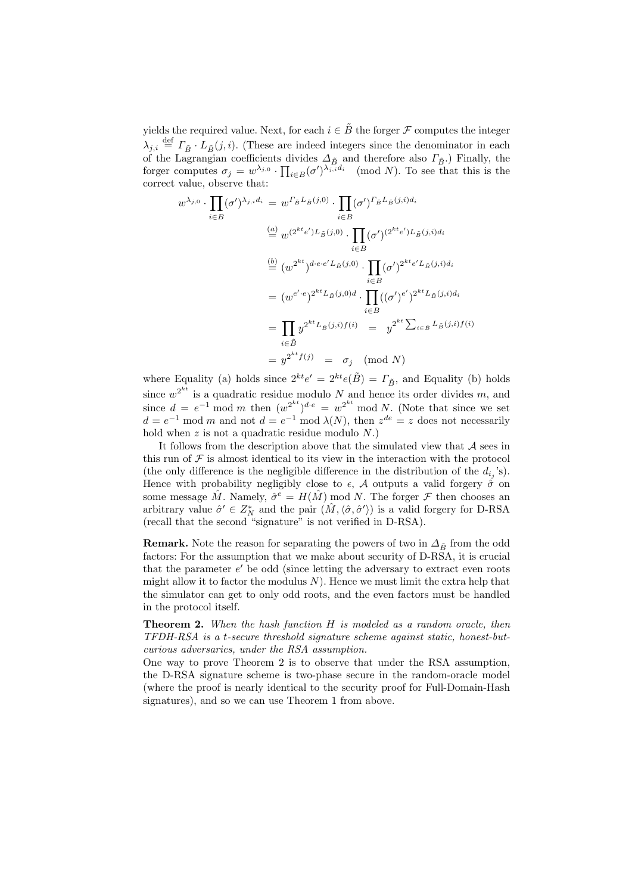yields the required value. Next, for each  $i \in \tilde{B}$  the forger  $\mathcal F$  computes the integer  $\lambda_{j,i} \stackrel{\text{def}}{=} \Gamma_{\tilde{B}} \cdot L_{\tilde{B}}(j,i)$ . (These are indeed integers since the denominator in each of the Lagrangian coefficients divides  $\Delta_{\tilde{B}}$  and therefore also  $\Gamma_{\tilde{B}}$ .) Finally, the forger computes  $\sigma_j = w^{\lambda_{j,0}} \cdot \prod_{i \in B} (\sigma')^{\lambda_{j,i}^{-} d_i} \pmod{N}$ . To see that this is the correct value, observe that:

$$
w^{\lambda_{j,0}} \cdot \prod_{i \in B} (\sigma')^{\lambda_{j,i}d_i} = w^{T_{\tilde{B}}L_{\tilde{B}}(j,0)} \cdot \prod_{i \in B} (\sigma')^{T_{\tilde{B}}L_{\tilde{B}}(j,i)d_i}
$$
  
\n
$$
\stackrel{(a)}{=} w^{(2^{kt}e')L_{\tilde{B}}(j,0)} \cdot \prod_{i \in B} (\sigma')^{(2^{kt}e')L_{\tilde{B}}(j,i)d_i}
$$
  
\n
$$
\stackrel{(b)}{=} (w^{2^{kt}})^{d \cdot e \cdot e'L_{\tilde{B}}(j,0)} \cdot \prod_{i \in B} (\sigma')^{2^{kt}e'L_{\tilde{B}}(j,i)d_i}
$$
  
\n
$$
= (w^{e'\cdot e})^{2^{kt}L_{\tilde{B}}(j,0)d} \cdot \prod_{i \in B} ((\sigma')^{e'})^{2^{kt}L_{\tilde{B}}(j,i)d_i}
$$
  
\n
$$
= \prod_{i \in \tilde{B}} y^{2^{kt}L_{\tilde{B}}(j,i)f(i)} = y^{2^{kt} \sum_{i \in \tilde{B}} L_{\tilde{B}}(j,i)f(i)}
$$
  
\n
$$
= y^{2^{kt}f(j)} = \sigma_j \pmod{N}
$$

where Equality (a) holds since  $2^{kt}e' = 2^{kt}e(\tilde{B}) = \Gamma_{\tilde{B}}$ , and Equality (b) holds since  $w^{2^{kt}}$  is a quadratic residue modulo N and hence its order divides m, and since  $d = e^{-1} \mod m$  then  $(w^{2^{kt}})^{d \cdot e} = w^{2^{kt}} \mod N$ . (Note that since we set  $d = e^{-1}$  mod m and not  $d = e^{-1}$  mod  $\lambda(N)$ , then  $z^{de} = z$  does not necessarily hold when  $z$  is not a quadratic residue modulo  $N$ .)

It follows from the description above that the simulated view that  $A$  sees in this run of  $\mathcal F$  is almost identical to its view in the interaction with the protocol (the only difference is the negligible difference in the distribution of the  $d_{i_j}$ 's). Hence with probability negligibly close to  $\epsilon$ , A outputs a valid forgery  $\hat{\sigma}$  on some message  $\hat{M}$ . Namely,  $\hat{\sigma}^e = H(\hat{M}) \text{ mod } N$ . The forger  $\mathcal F$  then chooses an arbitrary value  $\hat{\sigma}' \in Z_N^*$  and the pair  $(\hat{M}, \langle \hat{\sigma}, \hat{\sigma}' \rangle)$  is a valid forgery for D-RSA (recall that the second "signature" is not verified in D-RSA).

**Remark.** Note the reason for separating the powers of two in  $\Delta_{\tilde{B}}$  from the odd factors: For the assumption that we make about security of D-RSA, it is crucial that the parameter  $e'$  be odd (since letting the adversary to extract even roots might allow it to factor the modulus  $N$ ). Hence we must limit the extra help that the simulator can get to only odd roots, and the even factors must be handled in the protocol itself.

Theorem 2. When the hash function H is modeled as a random oracle, then TFDH-RSA is a t-secure threshold signature scheme against static, honest-butcurious adversaries, under the RSA assumption.

One way to prove Theorem 2 is to observe that under the RSA assumption, the D-RSA signature scheme is two-phase secure in the random-oracle model (where the proof is nearly identical to the security proof for Full-Domain-Hash signatures), and so we can use Theorem 1 from above.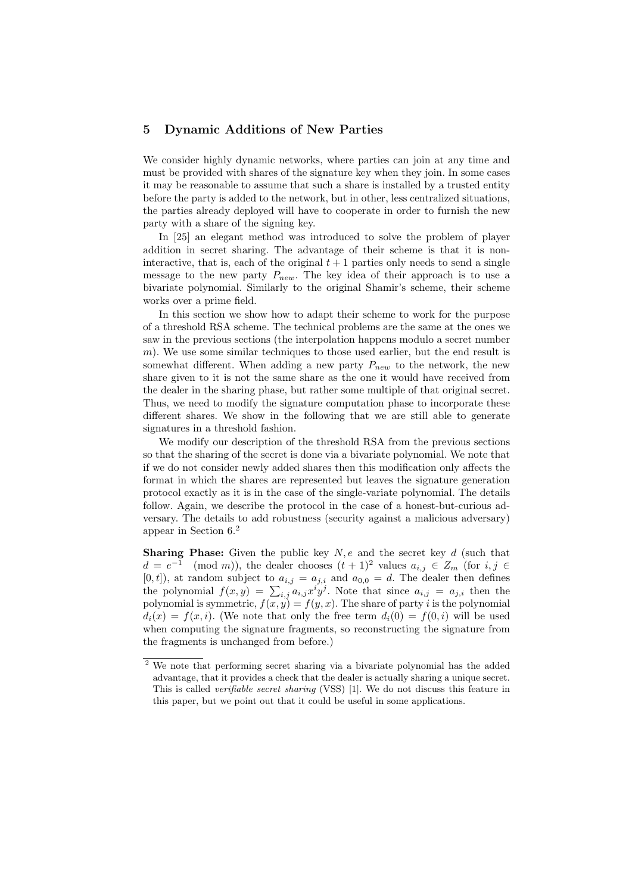## 5 Dynamic Additions of New Parties

We consider highly dynamic networks, where parties can join at any time and must be provided with shares of the signature key when they join. In some cases it may be reasonable to assume that such a share is installed by a trusted entity before the party is added to the network, but in other, less centralized situations, the parties already deployed will have to cooperate in order to furnish the new party with a share of the signing key.

In [25] an elegant method was introduced to solve the problem of player addition in secret sharing. The advantage of their scheme is that it is noninteractive, that is, each of the original  $t + 1$  parties only needs to send a single message to the new party  $P_{new}$ . The key idea of their approach is to use a bivariate polynomial. Similarly to the original Shamir's scheme, their scheme works over a prime field.

In this section we show how to adapt their scheme to work for the purpose of a threshold RSA scheme. The technical problems are the same at the ones we saw in the previous sections (the interpolation happens modulo a secret number  $m$ ). We use some similar techniques to those used earlier, but the end result is somewhat different. When adding a new party  $P_{new}$  to the network, the new share given to it is not the same share as the one it would have received from the dealer in the sharing phase, but rather some multiple of that original secret. Thus, we need to modify the signature computation phase to incorporate these different shares. We show in the following that we are still able to generate signatures in a threshold fashion.

We modify our description of the threshold RSA from the previous sections so that the sharing of the secret is done via a bivariate polynomial. We note that if we do not consider newly added shares then this modification only affects the format in which the shares are represented but leaves the signature generation protocol exactly as it is in the case of the single-variate polynomial. The details follow. Again, we describe the protocol in the case of a honest-but-curious adversary. The details to add robustness (security against a malicious adversary) appear in Section 6.<sup>2</sup>

**Sharing Phase:** Given the public key  $N$ ,  $e$  and the secret key  $d$  (such that  $d = e^{-1} \pmod{m}$ , the dealer chooses  $(t + 1)^2$  values  $a_{i,j} \in Z_m$  (for  $i, j \in \mathbb{Z}$  $[0, t]$ , at random subject to  $a_{i,j} = a_{j,i}$  and  $a_{0,0} = d$ . The dealer then defines the polynomial  $f(x,y) = \sum_{i,j} a_{i,j} x^i y^j$ . Note that since  $a_{i,j} = a_{j,i}$  then the polynomial is symmetric,  $f(x, y) = f(y, x)$ . The share of party i is the polynomial  $d_i(x) = f(x, i)$ . (We note that only the free term  $d_i(0) = f(0, i)$  will be used when computing the signature fragments, so reconstructing the signature from the fragments is unchanged from before.)

<sup>2</sup> We note that performing secret sharing via a bivariate polynomial has the added advantage, that it provides a check that the dealer is actually sharing a unique secret. This is called verifiable secret sharing (VSS) [1]. We do not discuss this feature in this paper, but we point out that it could be useful in some applications.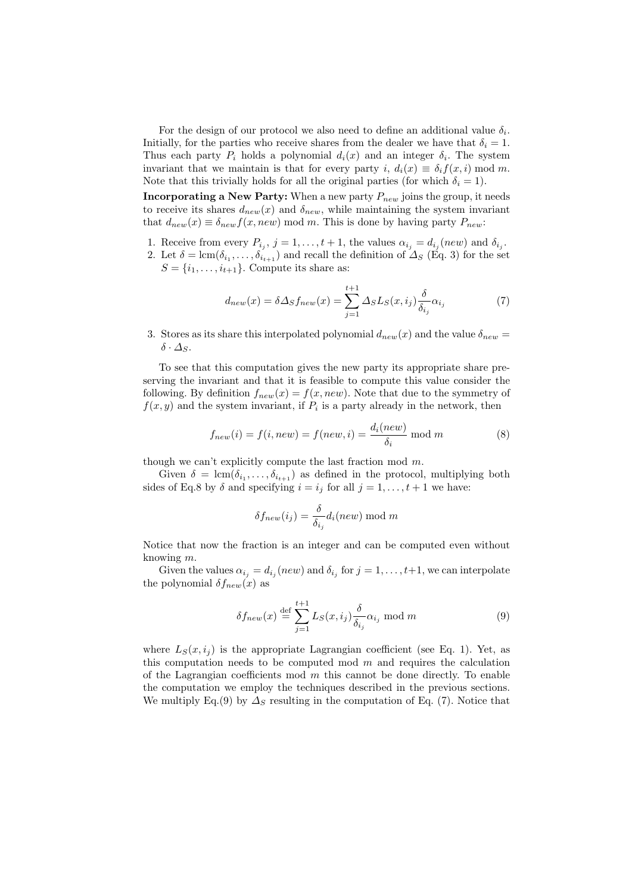For the design of our protocol we also need to define an additional value  $\delta_i$ . Initially, for the parties who receive shares from the dealer we have that  $\delta_i = 1$ . Thus each party  $P_i$  holds a polynomial  $d_i(x)$  and an integer  $\delta_i$ . The system invariant that we maintain is that for every party i,  $d_i(x) \equiv \delta_i f(x, i) \mod m$ . Note that this trivially holds for all the original parties (for which  $\delta_i = 1$ ).

**Incorporating a New Party:** When a new party  $P_{new}$  joins the group, it needs to receive its shares  $d_{new}(x)$  and  $\delta_{new}$ , while maintaining the system invariant that  $d_{new}(x) \equiv \delta_{new} f(x, new) \mod m$ . This is done by having party  $P_{new}$ :

- 1. Receive from every  $P_{i_j}$ ,  $j = 1, ..., t + 1$ , the values  $\alpha_{i_j} = d_{i_j}(new)$  and  $\delta_{i_j}$ .
- 2. Let  $\delta = \text{lcm}(\delta_{i_1}, \ldots, \delta_{i_{t+1}})$  and recall the definition of  $\Delta_S$  (Eq. 3) for the set  $S = \{i_1, \ldots, i_{t+1}\}.$  Compute its share as:

$$
d_{new}(x) = \delta \Delta_S f_{new}(x) = \sum_{j=1}^{t+1} \Delta_S L_S(x, i_j) \frac{\delta}{\delta_{i_j}} \alpha_{i_j}
$$
(7)

3. Stores as its share this interpolated polynomial  $d_{new}(x)$  and the value  $\delta_{new} =$  $\delta \cdot \Delta_S$ .

To see that this computation gives the new party its appropriate share preserving the invariant and that it is feasible to compute this value consider the following. By definition  $f_{new}(x) = f(x, new)$ . Note that due to the symmetry of  $f(x, y)$  and the system invariant, if  $P_i$  is a party already in the network, then

$$
f_{new}(i) = f(i, new) = f(new, i) = \frac{d_i(new)}{\delta_i} \mod m \tag{8}
$$

though we can't explicitly compute the last fraction mod  $m$ .

Given  $\delta = \text{lcm}(\delta_{i_1}, \ldots, \delta_{i_{t+1}})$  as defined in the protocol, multiplying both sides of Eq.8 by  $\delta$  and specifying  $i = i_j$  for all  $j = 1, \ldots, t + 1$  we have:

$$
\delta f_{new}(i_j) = \frac{\delta}{\delta_{i_j}} d_i(new) \bmod m
$$

Notice that now the fraction is an integer and can be computed even without knowing m.

Given the values  $\alpha_{i_j} = d_{i_j}(new)$  and  $\delta_{i_j}$  for  $j = 1, \ldots, t+1$ , we can interpolate the polynomial  $\delta f_{new}(x)$  as

$$
\delta f_{new}(x) \stackrel{\text{def}}{=} \sum_{j=1}^{t+1} L_S(x, i_j) \frac{\delta}{\delta_{i_j}} \alpha_{i_j} \text{ mod } m \tag{9}
$$

where  $L_S(x, i_j)$  is the appropriate Lagrangian coefficient (see Eq. 1). Yet, as this computation needs to be computed mod  $m$  and requires the calculation of the Lagrangian coefficients mod  $m$  this cannot be done directly. To enable the computation we employ the techniques described in the previous sections. We multiply Eq.(9) by  $\Delta_S$  resulting in the computation of Eq. (7). Notice that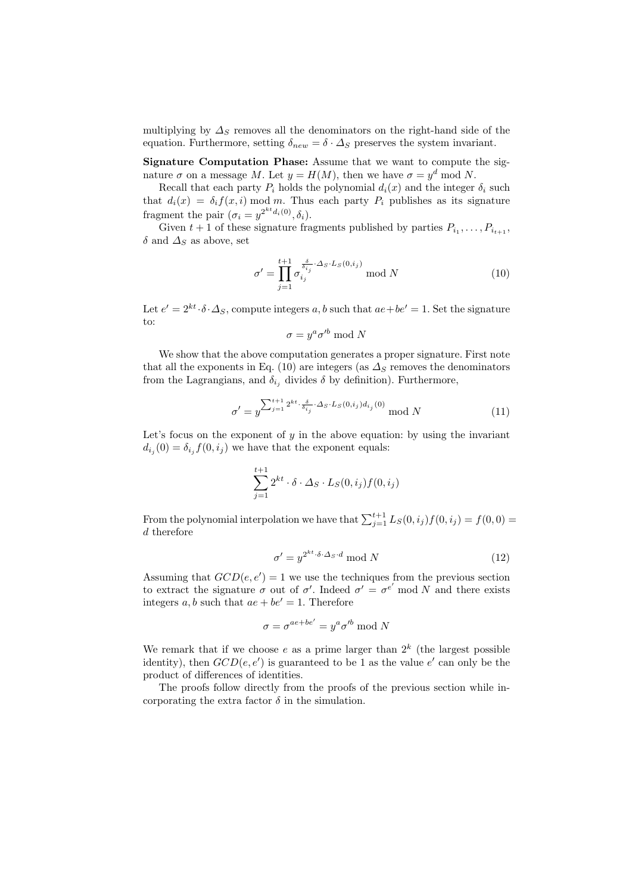multiplying by  $\Delta_S$  removes all the denominators on the right-hand side of the equation. Furthermore, setting  $\delta_{new} = \delta \cdot \Delta_S$  preserves the system invariant.

Signature Computation Phase: Assume that we want to compute the signature  $\sigma$  on a message M. Let  $y = H(M)$ , then we have  $\sigma = y^d \mod N$ .

Recall that each party  $P_i$  holds the polynomial  $d_i(x)$  and the integer  $\delta_i$  such that  $d_i(x) = \delta_i f(x, i) \mod m$ . Thus each party  $P_i$  publishes as its signature fragment the pair  $(\sigma_i = y^{2^{kt} d_i(0)}, \delta_i)$ .

Given  $t + 1$  of these signature fragments published by parties  $P_{i_1}, \ldots, P_{i_{t+1}},$ δ and  $\Delta_S$  as above, set

$$
\sigma' = \prod_{j=1}^{t+1} \sigma_{i_j}^{\frac{\delta}{\delta_{i_j}} \cdot \Delta_S \cdot L_S(0, i_j)} \mod N \tag{10}
$$

Let  $e' = 2^{kt} \cdot \delta \cdot \Delta_S$ , compute integers a, b such that  $ae + be' = 1$ . Set the signature to:

$$
\sigma = y^a \sigma^{\prime b} \bmod N
$$

We show that the above computation generates a proper signature. First note that all the exponents in Eq. (10) are integers (as  $\Delta_S$  removes the denominators from the Lagrangians, and  $\delta_{i}$ , divides  $\delta$  by definition). Furthermore,

$$
\sigma' = y^{\sum_{j=1}^{t+1} 2^{kt} \cdot \frac{\delta}{\delta_{ij}} \cdot \Delta_S \cdot L_S(0, i_j) d_{i_j}(0)}} \mod N
$$
(11)

Let's focus on the exponent of  $y$  in the above equation: by using the invariant  $d_{i_j}(0) = \delta_{i_j} f(0, i_j)$  we have that the exponent equals:

$$
\sum_{j=1}^{t+1} 2^{kt} \cdot \delta \cdot \Delta_S \cdot L_S(0, i_j) f(0, i_j)
$$

From the polynomial interpolation we have that  $\sum_{j=1}^{t+1} L_S(0, i_j) f(0, i_j) = f(0, 0)$ d therefore

$$
\sigma' = y^{2^{kt} \cdot \delta \cdot \Delta_S \cdot d} \bmod N \tag{12}
$$

Assuming that  $GCD(e, e') = 1$  we use the techniques from the previous section to extract the signature  $\sigma$  out of  $\sigma'$ . Indeed  $\sigma' = \sigma^{e'}$  mod N and there exists integers a, b such that  $ae + be' = 1$ . Therefore

$$
\sigma = \sigma^{ae + be'} = y^a \sigma'^b \bmod N
$$

We remark that if we choose e as a prime larger than  $2<sup>k</sup>$  (the largest possible identity), then  $GCD(e, e')$  is guaranteed to be 1 as the value  $e'$  can only be the product of differences of identities.

The proofs follow directly from the proofs of the previous section while incorporating the extra factor  $\delta$  in the simulation.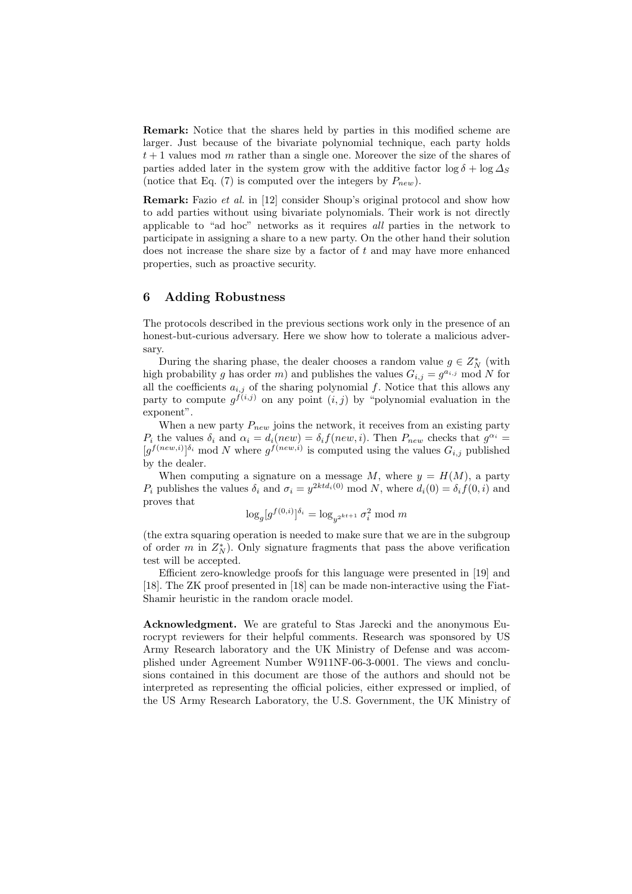Remark: Notice that the shares held by parties in this modified scheme are larger. Just because of the bivariate polynomial technique, each party holds  $t + 1$  values mod m rather than a single one. Moreover the size of the shares of parties added later in the system grow with the additive factor  $\log \delta + \log \Delta_S$ (notice that Eq. (7) is computed over the integers by  $P_{new}$ ).

**Remark:** Fazio et al. in [12] consider Shoup's original protocol and show how to add parties without using bivariate polynomials. Their work is not directly applicable to "ad hoc" networks as it requires all parties in the network to participate in assigning a share to a new party. On the other hand their solution does not increase the share size by a factor of  $t$  and may have more enhanced properties, such as proactive security.

## 6 Adding Robustness

The protocols described in the previous sections work only in the presence of an honest-but-curious adversary. Here we show how to tolerate a malicious adversary.

During the sharing phase, the dealer chooses a random value  $g \in Z_N^*$  (with high probability g has order m) and publishes the values  $G_{i,j} = g^{a_{i,j}} \mod N$  for all the coefficients  $a_{i,j}$  of the sharing polynomial f. Notice that this allows any party to compute  $g^{f(i,j)}$  on any point  $(i,j)$  by "polynomial evaluation in the exponent".

When a new party  $P_{new}$  joins the network, it receives from an existing party  $P_i$  the values  $\delta_i$  and  $\alpha_i = d_i(new) = \delta_i f(new, i)$ . Then  $P_{new}$  checks that  $g^{\alpha_i} =$  $[g^{f(new,i)}]$ <sup> $\delta_i$ </sup> mod N where  $g^{f(new,i)}$  is computed using the values  $G_{i,j}$  published by the dealer.

When computing a signature on a message M, where  $y = H(M)$ , a party  $P_i$  publishes the values  $\delta_i$  and  $\sigma_i = y^{2kt d_i(0)} \mod N$ , where  $d_i(0) = \delta_i f(0, i)$  and proves that

$$
\log_g [g^{f(0,i)}]^{\delta_i} = \log_{y^{2^{kt+1}}} \sigma_i^2 \mod m
$$

(the extra squaring operation is needed to make sure that we are in the subgroup of order  $m$  in  $Z_N^*$ ). Only signature fragments that pass the above verification test will be accepted.

Efficient zero-knowledge proofs for this language were presented in [19] and [18]. The ZK proof presented in [18] can be made non-interactive using the Fiat-Shamir heuristic in the random oracle model.

Acknowledgment. We are grateful to Stas Jarecki and the anonymous Eurocrypt reviewers for their helpful comments. Research was sponsored by US Army Research laboratory and the UK Ministry of Defense and was accomplished under Agreement Number W911NF-06-3-0001. The views and conclusions contained in this document are those of the authors and should not be interpreted as representing the official policies, either expressed or implied, of the US Army Research Laboratory, the U.S. Government, the UK Ministry of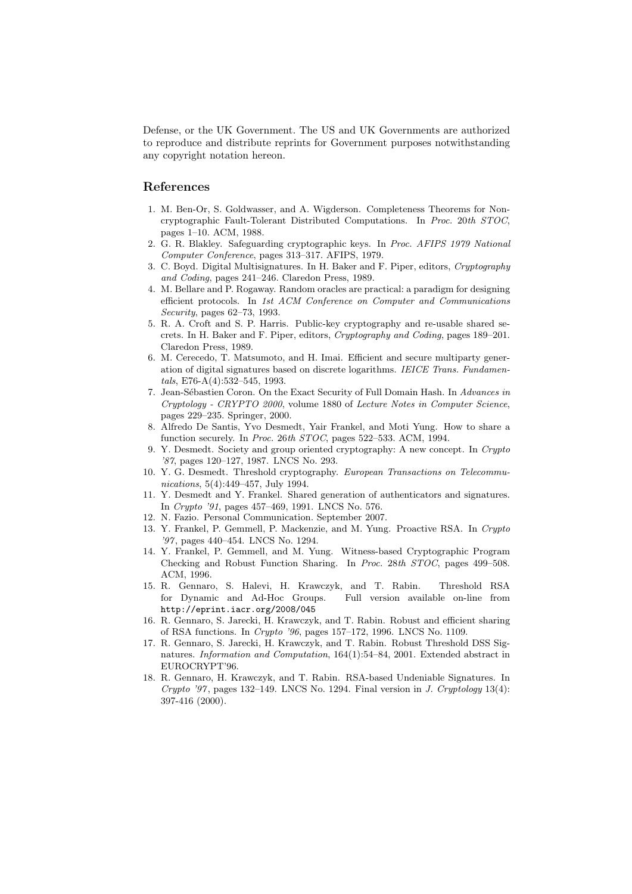Defense, or the UK Government. The US and UK Governments are authorized to reproduce and distribute reprints for Government purposes notwithstanding any copyright notation hereon.

## References

- 1. M. Ben-Or, S. Goldwasser, and A. Wigderson. Completeness Theorems for Noncryptographic Fault-Tolerant Distributed Computations. In Proc. 20th STOC, pages 1–10. ACM, 1988.
- 2. G. R. Blakley. Safeguarding cryptographic keys. In Proc. AFIPS 1979 National Computer Conference, pages 313–317. AFIPS, 1979.
- 3. C. Boyd. Digital Multisignatures. In H. Baker and F. Piper, editors, Cryptography and Coding, pages 241–246. Claredon Press, 1989.
- 4. M. Bellare and P. Rogaway. Random oracles are practical: a paradigm for designing efficient protocols. In 1st ACM Conference on Computer and Communications Security, pages 62–73, 1993.
- 5. R. A. Croft and S. P. Harris. Public-key cryptography and re-usable shared secrets. In H. Baker and F. Piper, editors, Cryptography and Coding, pages 189–201. Claredon Press, 1989.
- 6. M. Cerecedo, T. Matsumoto, and H. Imai. Efficient and secure multiparty generation of digital signatures based on discrete logarithms. IEICE Trans. Fundamentals, E76-A(4):532–545, 1993.
- 7. Jean-Sébastien Coron. On the Exact Security of Full Domain Hash. In Advances in Cryptology - CRYPTO 2000, volume 1880 of Lecture Notes in Computer Science, pages 229–235. Springer, 2000.
- 8. Alfredo De Santis, Yvo Desmedt, Yair Frankel, and Moti Yung. How to share a function securely. In Proc. 26th STOC, pages 522–533. ACM, 1994.
- 9. Y. Desmedt. Society and group oriented cryptography: A new concept. In Crypto '87, pages 120–127, 1987. LNCS No. 293.
- 10. Y. G. Desmedt. Threshold cryptography. European Transactions on Telecommunications, 5(4):449–457, July 1994.
- 11. Y. Desmedt and Y. Frankel. Shared generation of authenticators and signatures. In Crypto '91, pages 457–469, 1991. LNCS No. 576.
- 12. N. Fazio. Personal Communication. September 2007.
- 13. Y. Frankel, P. Gemmell, P. Mackenzie, and M. Yung. Proactive RSA. In Crypto '97 , pages 440–454. LNCS No. 1294.
- 14. Y. Frankel, P. Gemmell, and M. Yung. Witness-based Cryptographic Program Checking and Robust Function Sharing. In Proc. 28th STOC, pages 499–508. ACM, 1996.
- 15. R. Gennaro, S. Halevi, H. Krawczyk, and T. Rabin. Threshold RSA for Dynamic and Ad-Hoc Groups. Full version available on-line from http://eprint.iacr.org/2008/045
- 16. R. Gennaro, S. Jarecki, H. Krawczyk, and T. Rabin. Robust and efficient sharing of RSA functions. In Crypto '96, pages 157–172, 1996. LNCS No. 1109.
- 17. R. Gennaro, S. Jarecki, H. Krawczyk, and T. Rabin. Robust Threshold DSS Signatures. Information and Computation, 164(1):54–84, 2001. Extended abstract in EUROCRYPT'96.
- 18. R. Gennaro, H. Krawczyk, and T. Rabin. RSA-based Undeniable Signatures. In Crypto '97, pages 132-149. LNCS No. 1294. Final version in  $J$ . Cryptology 13(4): 397-416 (2000).